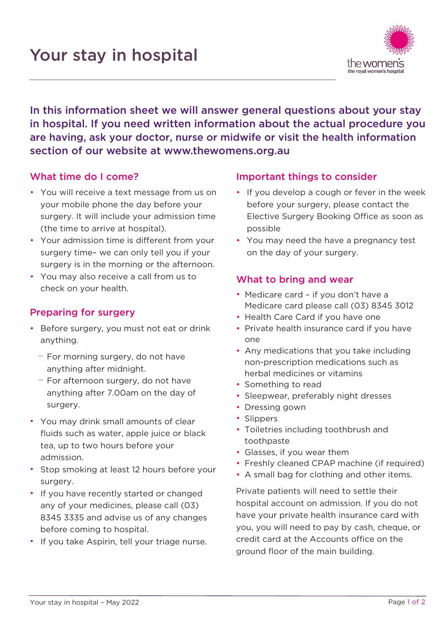

In this information sheet we will answer general questions about your stay in hospital. If you need written information about the actual procedure you are having, ask your doctor, nurse or midwife or visit the health information section of our website at [www.thewomens.org.au](http://www.thewomens.org.au/)

## What time do I come?

- You will receive a text message from us on your mobile phone the day before your surgery. It will include your admission time (the time to arrive at hospital).
- Your admission time is different from your surgery time– we can only tell you if your surgery is in the morning or the afternoon.
- You may also receive a call from us to check on your health.

## Preparing for surgery

- Before surgery, you must not eat or drink anything.
	- − For morning surgery, do not have anything after midnight.
	- − For afternoon surgery, do not have anything after 7.00am on the day of surgery.
- You may drink small amounts of clear fluids such as water, apple juice or black tea, up to two hours before your admission.
- Stop smoking at least 12 hours before your surgery.
- If you have recently started or changed any of your medicines, please call (03) 8345 3335 and advise us of any changes before coming to hospital.
- If you take Aspirin, tell your triage nurse.

## Important things to consider

- If you develop a cough or fever in the week before your surgery, please contact the Elective Surgery Booking Office as soon as possible
- You may need the have a pregnancy test on the day of your surgery.

## What to bring and wear

- Medicare card if you don't have a Medicare card please call (03) 8345 3012
- Health Care Card if you have one
- Private health insurance card if you have one
- Any medications that you take including non-prescription medications such as herbal medicines or vitamins
- Something to read
- Sleepwear, preferably night dresses
- Dressing gown
- Slippers
- Toiletries including toothbrush and toothpaste
- Glasses, if you wear them
- Freshly cleaned CPAP machine (if required)
- A small bag for clothing and other items.

Private patients will need to settle their hospital account on admission. If you do not have your private health insurance card with you, you will need to pay by cash, cheque, or credit card at the Accounts office on the ground floor of the main building.